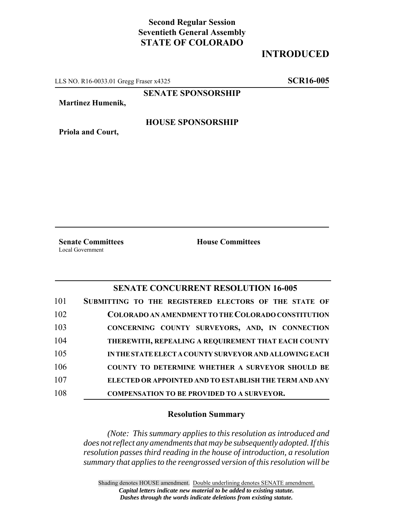# **Second Regular Session Seventieth General Assembly STATE OF COLORADO**

# **INTRODUCED**

LLS NO. R16-0033.01 Gregg Fraser x4325 **SCR16-005**

**SENATE SPONSORSHIP**

**Martinez Humenik,**

**Priola and Court,**

### **HOUSE SPONSORSHIP**

**Senate Committees House Committees** Local Government

### **SENATE CONCURRENT RESOLUTION 16-005**

| 101 | SUBMITTING TO THE REGISTERED ELECTORS OF THE STATE OF   |
|-----|---------------------------------------------------------|
| 102 | COLORADO AN AMENDMENT TO THE COLORADO CONSTITUTION      |
| 103 | CONCERNING COUNTY SURVEYORS, AND, IN CONNECTION         |
| 104 | THEREWITH, REPEALING A REQUIREMENT THAT EACH COUNTY     |
| 105 | IN THE STATE ELECT A COUNTY SURVEYOR AND ALLOWING EACH  |
| 106 | <b>COUNTY TO DETERMINE WHETHER A SURVEYOR SHOULD BE</b> |
| 107 | ELECTED OR APPOINTED AND TO ESTABLISH THE TERM AND ANY  |
| 108 | <b>COMPENSATION TO BE PROVIDED TO A SURVEYOR.</b>       |

#### **Resolution Summary**

*(Note: This summary applies to this resolution as introduced and does not reflect any amendments that may be subsequently adopted. If this resolution passes third reading in the house of introduction, a resolution summary that applies to the reengrossed version of this resolution will be*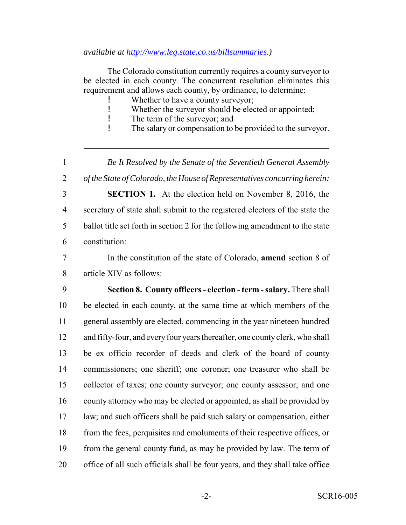*available at http://www.leg.state.co.us/billsummaries.)*

The Colorado constitution currently requires a county surveyor to be elected in each county. The concurrent resolution eliminates this requirement and allows each county, by ordinance, to determine:

- Whether to have a county surveyor;
- ! Whether the surveyor should be elected or appointed;
- ! The term of the surveyor; and
- ! The salary or compensation to be provided to the surveyor.

 *Be It Resolved by the Senate of the Seventieth General Assembly of the State of Colorado, the House of Representatives concurring herein:* **SECTION 1.** At the election held on November 8, 2016, the secretary of state shall submit to the registered electors of the state the ballot title set forth in section 2 for the following amendment to the state

constitution:

 In the constitution of the state of Colorado, **amend** section 8 of article XIV as follows:

 **Section 8. County officers - election - term - salary.** There shall be elected in each county, at the same time at which members of the general assembly are elected, commencing in the year nineteen hundred and fifty-four, and every four years thereafter, one county clerk, who shall be ex officio recorder of deeds and clerk of the board of county commissioners; one sheriff; one coroner; one treasurer who shall be 15 collector of taxes; one county surveyor; one county assessor; and one county attorney who may be elected or appointed, as shall be provided by law; and such officers shall be paid such salary or compensation, either from the fees, perquisites and emoluments of their respective offices, or from the general county fund, as may be provided by law. The term of office of all such officials shall be four years, and they shall take office